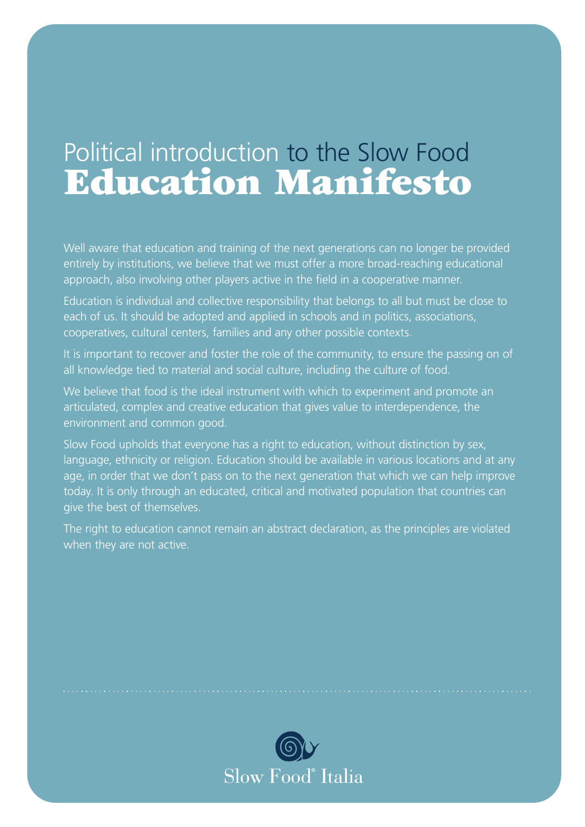### Political introduction to the Slow Food Education Manifesto

Well aware that education and training of the next generations can no longer be provided entirely by institutions, we believe that we must offer a more broad-reaching educational approach, also involving other players active in the field in a cooperative manner.

Education is individual and collective responsibility that belongs to all but must be close to each of us. It should be adopted and applied in schools and in politics, associations, cooperatives, cultural centers, families and any other possible contexts.

It is important to recover and foster the role of the community, to ensure the passing on of all knowledge tied to material and social culture, including the culture of food.

We believe that food is the ideal instrument with which to experiment and promote an articulated, complex and creative education that gives value to interdependence, the environment and common good.

Slow Food upholds that everyone has a right to education, without distinction by sex, language, ethnicity or religion. Education should be available in various locations and at any age, in order that we don't pass on to the next generation that which we can help improve today. It is only through an educated, critical and motivated population that countries can give the best of themselves.

The right to education cannot remain an abstract declaration, as the principles are violated when they are not active.

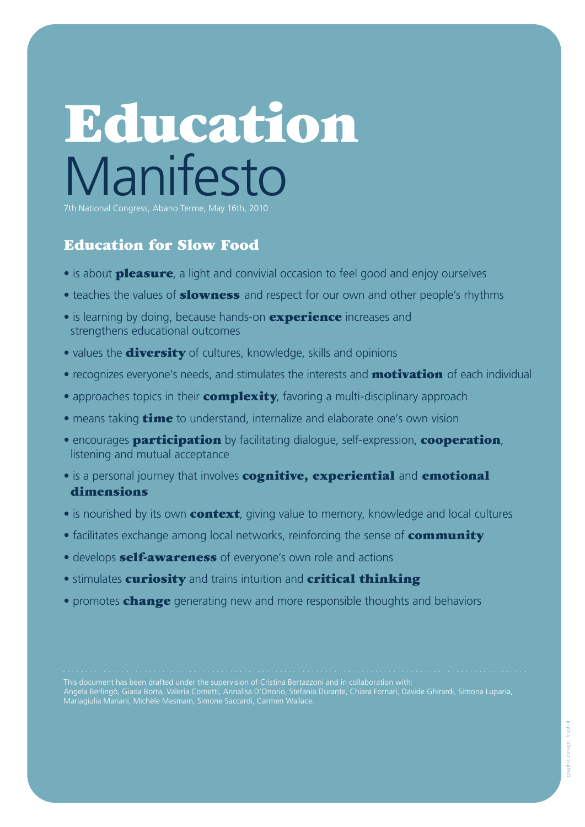# Education **Manifesto**

7th National Congress, Abano Terme, May 16th, 2010

#### Education for Slow Food

- is about **pleasure**, a light and convivial occasion to feel good and enjoy ourselves
- teaches the values of **slowness** and respect for our own and other people's rhythms
- is learning by doing, because hands-on **experience** increases and strengthens educational outcomes
- values the **diversity** of cultures, knowledge, skills and opinions
- recognizes everyone's needs, and stimulates the interests and **motivation** of each individual
- approaches topics in their **complexity**, favoring a multi-disciplinary approach
- means taking **time** to understand, internalize and elaborate one's own vision
- encourages **participation** by facilitating dialogue, self-expression, **cooperation**, listening and mutual acceptance
- is a personal journey that involves **cognitive, experiential** and **emotional** dimensions
- is nourished by its own **context**, giving value to memory, knowledge and local cultures
- facilitates exchange among local networks, reinforcing the sense of **community**
- develops **self-awareness** of everyone's own role and actions
- **stimulates curiosity and trains intuition and critical thinking**
- promotes **change** generating new and more responsible thoughts and behaviors